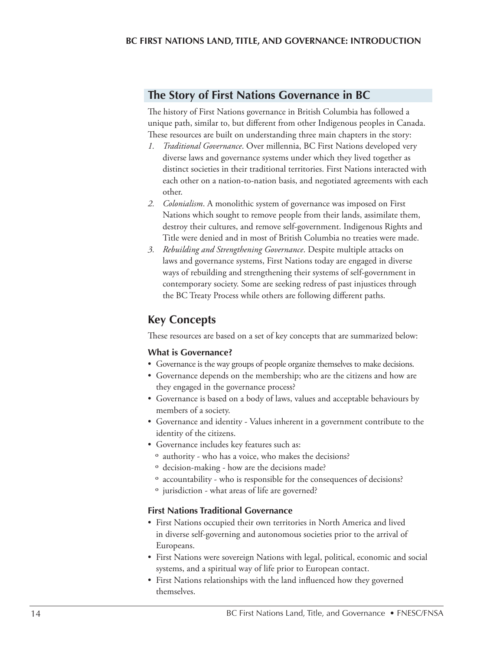## **The Story of First Nations Governance in BC**

The history of First Nations governance in British Columbia has followed a unique path, similar to, but different from other Indigenous peoples in Canada. These resources are built on understanding three main chapters in the story:

- *1. Traditional Governance*. Over millennia, BC First Nations developed very diverse laws and governance systems under which they lived together as distinct societies in their traditional territories. First Nations interacted with each other on a nation-to-nation basis, and negotiated agreements with each other.
- *2. Colonialism*. A monolithic system of governance was imposed on First Nations which sought to remove people from their lands, assimilate them, destroy their cultures, and remove self-government. Indigenous Rights and Title were denied and in most of British Columbia no treaties were made.
- *3. Rebuilding and Strengthening Governance*. Despite multiple attacks on laws and governance systems, First Nations today are engaged in diverse ways of rebuilding and strengthening their systems of self-government in contemporary society. Some are seeking redress of past injustices through the BC Treaty Process while others are following different paths.

# **Key Concepts**

These resources are based on a set of key concepts that are summarized below:

#### **What is Governance?**

- Governance is the way groups of people organize themselves to make decisions.
- Governance depends on the membership; who are the citizens and how are they engaged in the governance process?
- Governance is based on a body of laws, values and acceptable behaviours by members of a society.
- Governance and identity Values inherent in a government contribute to the identity of the citizens.
- Governance includes key features such as:
	- º authority who has a voice, who makes the decisions?
	- º decision-making how are the decisions made?
	- º accountability who is responsible for the consequences of decisions?
	- º jurisdiction what areas of life are governed?

#### **First Nations Traditional Governance**

- First Nations occupied their own territories in North America and lived in diverse self-governing and autonomous societies prior to the arrival of Europeans.
- First Nations were sovereign Nations with legal, political, economic and social systems, and a spiritual way of life prior to European contact.
- First Nations relationships with the land influenced how they governed themselves.